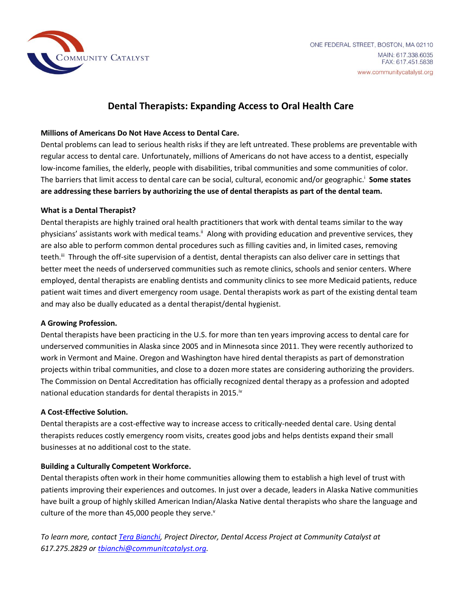

# **Dental Therapists: Expanding Access to Oral Health Care**

## **Millions of Americans Do Not Have Access to Dental Care.**

Dental problems can lead to serious health risks if they are left untreated. These problems are preventable with regular access to dental care. Unfortunately, millions of Americans do not have access to a dentist, especially low-income families, the elderly, people with disabilities, tribal communities and some communities of color. The barriers that limit access to dental care can be social, cultural, economic and/or geographic.<sup>i</sup> Some states **are addressing these barriers by authorizing the use of dental therapists as part of the dental team.**

## **What is a Dental Therapist?**

Dental therapists are highly trained oral health practitioners that work with dental teams similar to the way physicians' assistants work with medical teams.<sup>ii</sup> Along with providing education and preventive services, they are also able to perform common dental procedures such as filling cavities and, in limited cases, removing teeth.<sup>ii</sup> Through the off-site supervision of a dentist, dental therapists can also deliver care in settings that better meet the needs of underserved communities such as remote clinics, schools and senior centers. Where employed, dental therapists are enabling dentists and community clinics to see more Medicaid patients, reduce patient wait times and divert emergency room usage. Dental therapists work as part of the existing dental team and may also be dually educated as a dental therapist/dental hygienist.

#### **A Growing Profession.**

Dental therapists have been practicing in the U.S. for more than ten years improving access to dental care for underserved communities in Alaska since 2005 and in Minnesota since 2011. They were recently authorized to work in Vermont and Maine. Oregon and Washington have hired dental therapists as part of demonstration projects within tribal communities, and close to a dozen more states are considering authorizing the providers. The Commission on Dental Accreditation has officially recognized dental therapy as a profession and adopted national education standards for dental therapists in 2015.<sup>iv</sup>

#### **A Cost-Effective Solution.**

Dental therapists are a cost-effective way to increase access to critically-needed dental care. Using dental therapists reduces costly emergency room visits, creates good jobs and helps dentists expand their small businesses at no additional cost to the state.

# **Building a Culturally Competent Workforce.**

Dental therapists often work in their home communities allowing them to establish a high level of trust with patients improving their experiences and outcomes. In just over a decade, leaders in Alaska Native communities have built a group of highly skilled American Indian/Alaska Native dental therapists who share the language and culture of the more than 45,000 people they serve. $v$ 

*To learn more, contact [Tera Bianchi,](mailto:tbianchi@communitycatalyst.org) Project Director, Dental Access Project at Community Catalyst at 617.275.2829 o[r tbianchi@communitcatalyst.org.](mailto:tbianchi@communitcatalyst.org)*